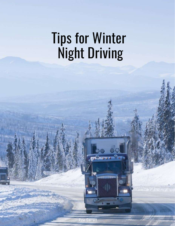# Tips for Winter Night Driving

Ryan Garratt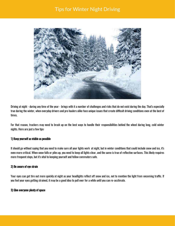# Tips for Winter Night Driving



Driving at night - during anytime of the year - brings with it a number of challenges and risks that do not exist during the day. That's especially true during the winter, when everyday drivers and pro haulers alike face unique issues that create difficult driving conditions even at the best of times.

For that reason, truckers may need to brush up on the best ways to handle their responsibilities behind the wheel during long, cold winter nights. Here are just a few tips:

#### 1) Keep yourself as visible as possible

It should go without saying that you need to make sure all your lights work at night, but in winter conditions that could include snow and ice, it's even more critical. When snow falls or piles up, you need to keep all lights clear, and the same is true of reflective surfaces. This likely requires more frequent stops, but it's vital to keeping yourself and fellow commuters safe.

## 2) Be aware of eye strain

Your eyes can get tire out more quickly at night as your headlights reflect off snow and ice, not to mention the light from oncoming traffic. If you feel your eyes getting strained, it may be a good idea to pull over for a while until you can re-acclimate.

#### 3) Give everyone plenty of space